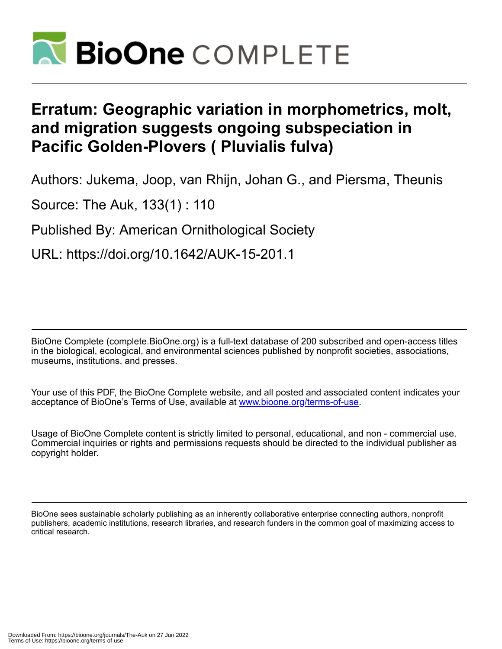

## **Erratum: Geographic variation in morphometrics, molt, and migration suggests ongoing subspeciation in Pacific Golden-Plovers ( Pluvialis fulva)**

Authors: Jukema, Joop, van Rhijn, Johan G., and Piersma, Theunis

Source: The Auk, 133(1) : 110

Published By: American Ornithological Society

URL: https://doi.org/10.1642/AUK-15-201.1

BioOne Complete (complete.BioOne.org) is a full-text database of 200 subscribed and open-access titles in the biological, ecological, and environmental sciences published by nonprofit societies, associations, museums, institutions, and presses.

Your use of this PDF, the BioOne Complete website, and all posted and associated content indicates your acceptance of BioOne's Terms of Use, available at www.bioone.org/terms-of-use.

Usage of BioOne Complete content is strictly limited to personal, educational, and non - commercial use. Commercial inquiries or rights and permissions requests should be directed to the individual publisher as copyright holder.

BioOne sees sustainable scholarly publishing as an inherently collaborative enterprise connecting authors, nonprofit publishers, academic institutions, research libraries, and research funders in the common goal of maximizing access to critical research.